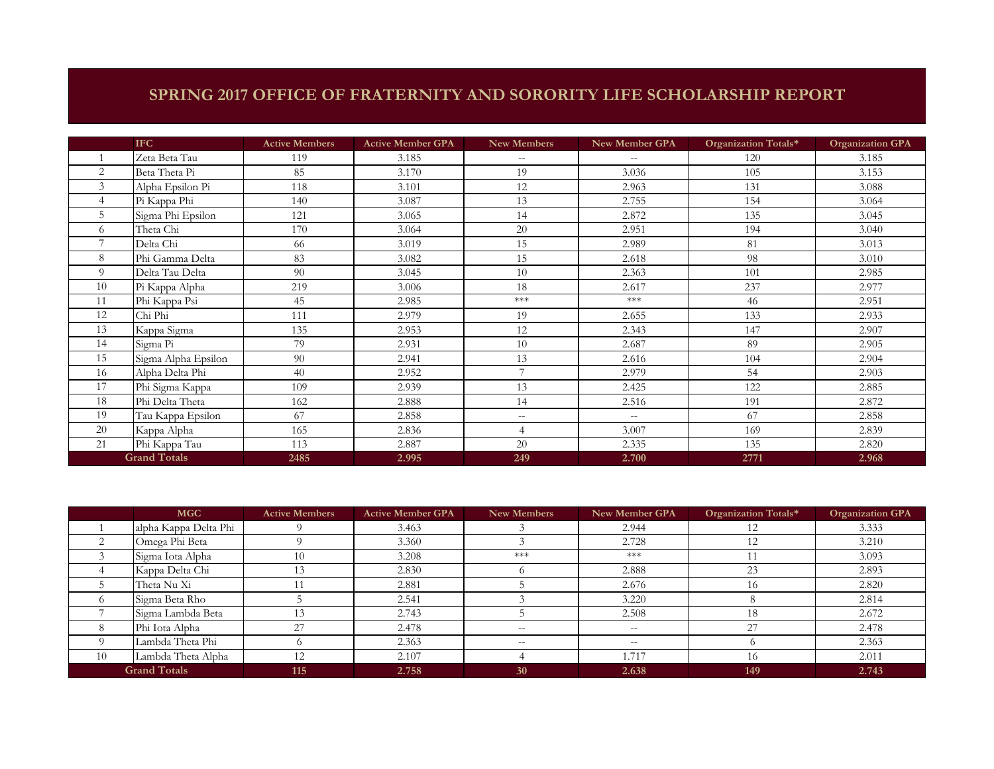## **SPRING 2017 OFFICE OF FRATERNITY AND SORORITY LIFE SCHOLARSHIP REPORT**

|                     | <b>IFC</b>          | <b>Active Members</b> | <b>Active Member GPA</b> | New Members    | New Member GPA | Organization Totals* | <b>Organization GPA</b> |
|---------------------|---------------------|-----------------------|--------------------------|----------------|----------------|----------------------|-------------------------|
|                     | Zeta Beta Tau       | 119                   | 3.185                    | $-$            | $-$            | 120                  | 3.185                   |
| 2                   | Beta Theta Pi       | 85                    | 3.170                    | 19             | 3.036          | 105                  | 3.153                   |
| 3                   | Alpha Epsilon Pi    | 118                   | 3.101                    | 12             | 2.963          | 131                  | 3.088                   |
|                     | Pi Kappa Phi        | 140                   | 3.087                    | 13             | 2.755          | 154                  | 3.064                   |
| 5                   | Sigma Phi Epsilon   | 121                   | 3.065                    | 14             | 2.872          | 135                  | 3.045                   |
| 6                   | Theta Chi           | 170                   | 3.064                    | 20             | 2.951          | 194                  | 3.040                   |
|                     | Delta Chi           | 66                    | 3.019                    | 15             | 2.989          | 81                   | 3.013                   |
| 8                   | Phi Gamma Delta     | 83                    | 3.082                    | 15             | 2.618          | 98                   | 3.010                   |
| $\Omega$            | Delta Tau Delta     | 90                    | 3.045                    | 10             | 2.363          | 101                  | 2.985                   |
| 10                  | Pi Kappa Alpha      | 219                   | 3.006                    | 18             | 2.617          | 237                  | 2.977                   |
| 11                  | Phi Kappa Psi       | 45                    | 2.985                    | $***$          | $***$          | 46                   | 2.951                   |
| 12                  | Chi Phi             | 111                   | 2.979                    | 19             | 2.655          | 133                  | 2.933                   |
| 13                  | Kappa Sigma         | 135                   | 2.953                    | 12             | 2.343          | 147                  | 2.907                   |
| 14                  | Sigma Pi            | 79                    | 2.931                    | 10             | 2.687          | 89                   | 2.905                   |
| 15                  | Sigma Alpha Epsilon | 90                    | 2.941                    | 13             | 2.616          | 104                  | 2.904                   |
| 16                  | Alpha Delta Phi     | 40                    | 2.952                    | $\overline{ }$ | 2.979          | 54                   | 2.903                   |
| 17                  | Phi Sigma Kappa     | 109                   | 2.939                    | 13             | 2.425          | 122                  | 2.885                   |
| 18                  | Phi Delta Theta     | 162                   | 2.888                    | 14             | 2.516          | 191                  | 2.872                   |
| 19                  | Tau Kappa Epsilon   | 67                    | 2.858                    | $-$            | $- -$          | 67                   | 2.858                   |
| 20                  | Kappa Alpha         | 165                   | 2.836                    | $\overline{4}$ | 3.007          | 169                  | 2.839                   |
| 21                  | Phi Kappa Tau       | 113                   | 2.887                    | 20             | 2.335          | 135                  | 2.820                   |
| <b>Grand Totals</b> |                     | 2485                  | 2.995                    | 249            | 2.700          | 2771                 | 2.968                   |

|            | <b>MGC</b>            | <b>Active Members</b> | <b>Active Member GPA</b> | New Members | New Member GPA | Organization Totals* | <b>Organization GPA</b> |
|------------|-----------------------|-----------------------|--------------------------|-------------|----------------|----------------------|-------------------------|
|            | alpha Kappa Delta Phi |                       | 3.463                    |             | 2.944          |                      | 3.333                   |
|            | Omega Phi Beta        |                       | 3.360                    |             | 2.728          | 12                   | 3.210                   |
|            | Sigma Iota Alpha      | 10                    | 3.208                    | ***         | ***            |                      | 3.093                   |
|            | Kappa Delta Chi       | 13                    | 2.830                    |             | 2.888          | 23                   | 2.893                   |
|            | Theta Nu Xi           |                       | 2.881                    |             | 2.676          | 16                   | 2.820                   |
| $^{\circ}$ | Sigma Beta Rho        |                       | 2.541                    |             | 3.220          |                      | 2.814                   |
|            | Sigma Lambda Beta     |                       | 2.743                    |             | 2.508          | 18                   | 2.672                   |
| 8          | Phi Iota Alpha        | 27                    | 2.478                    | $- -$       | $- -$          | 27                   | 2.478                   |
|            | Lambda Theta Phi      |                       | 2.363                    | $- -$       | $--$           |                      | 2.363                   |
| 10         | Lambda Theta Alpha    | 12                    | 2.107                    |             | 1.717          | 16                   | 2.011                   |
|            | <b>Grand Totals</b>   | 115                   | 2.758                    | 30          | 2.638          | 149                  | 2.743                   |